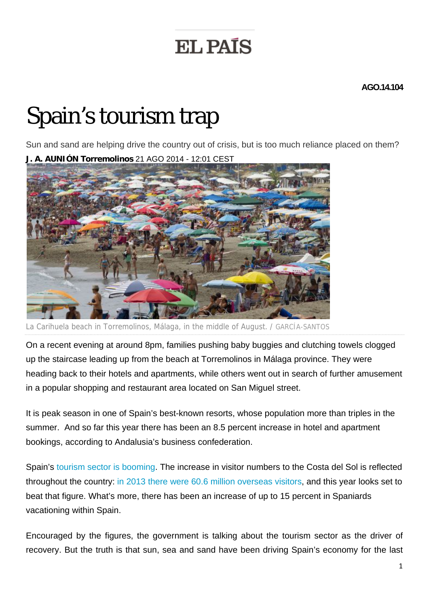## **EL PAÍS**

**AGO.14.104** 

## Spain's tourism trap

Sun and sand are helping drive the country out of crisis, but is too much reliance placed on them?



La Carihuela beach in Torremolinos, Málaga, in the middle of August. / GARCÍA-SANTOS

On a recent evening at around 8pm, families pushing baby buggies and clutching towels clogged up the staircase leading up from the beach at Torremolinos in Málaga province. They were heading back to their hotels and apartments, while others went out in search of further amusement in a popular shopping and restaurant area located on San Miguel street.

It is peak season in one of Spain's best-known resorts, whose population more than triples in the summer. And so far this year there has been an 8.5 percent increase in hotel and apartment bookings, according to Andalusia's business confederation.

Spain's tourism sector is booming. The increase in visitor numbers to the Costa del Sol is reflected throughout the country: in 2013 there were 60.6 million overseas visitors, and this year looks set to beat that figure. What's more, there has been an increase of up to 15 percent in Spaniards vacationing within Spain.

Encouraged by the figures, the government is talking about the tourism sector as the driver of recovery. But the truth is that sun, sea and sand have been driving Spain's economy for the last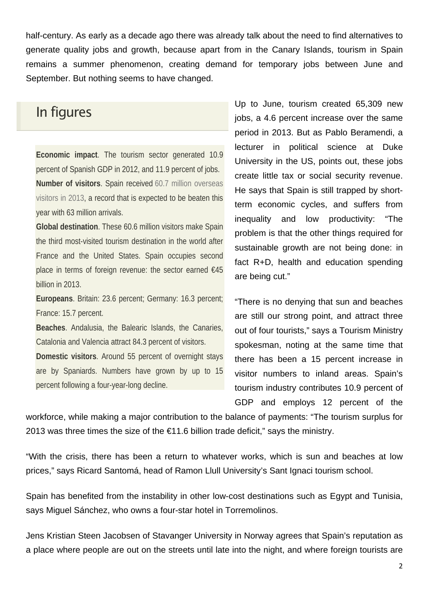half-century. As early as a decade ago there was already talk about the need to find alternatives to generate quality jobs and growth, because apart from in the Canary Islands, tourism in Spain remains a summer phenomenon, creating demand for temporary jobs between June and September. But nothing seems to have changed.

## In figures

**Economic impact**. The tourism sector generated 10.9 percent of Spanish GDP in 2012, and 11.9 percent of jobs. **Number of visitors**. Spain received 60.7 million overseas visitors in 2013, a record that is expected to be beaten this year with 63 million arrivals.

**Global destination**. These 60.6 million visitors make Spain the third most-visited tourism destination in the world after France and the United States. Spain occupies second place in terms of foreign revenue: the sector earned €45 billion in 2013.

**Europeans**. Britain: 23.6 percent; Germany: 16.3 percent; France: 15.7 percent.

**Beaches**. Andalusia, the Balearic Islands, the Canaries, Catalonia and Valencia attract 84.3 percent of visitors.

**Domestic visitors**. Around 55 percent of overnight stays are by Spaniards. Numbers have grown by up to 15 percent following a four-year-long decline.

Up to June, tourism created 65,309 new jobs, a 4.6 percent increase over the same period in 2013. But as Pablo Beramendi, a lecturer in political science at Duke University in the US, points out, these jobs create little tax or social security revenue. He says that Spain is still trapped by shortterm economic cycles, and suffers from inequality and low productivity: "The problem is that the other things required for sustainable growth are not being done: in fact R+D, health and education spending are being cut."

"There is no denying that sun and beaches are still our strong point, and attract three out of four tourists," says a Tourism Ministry spokesman, noting at the same time that there has been a 15 percent increase in visitor numbers to inland areas. Spain's tourism industry contributes 10.9 percent of GDP and employs 12 percent of the

workforce, while making a major contribution to the balance of payments: "The tourism surplus for 2013 was three times the size of the  $\epsilon$ 11.6 billion trade deficit," says the ministry.

"With the crisis, there has been a return to whatever works, which is sun and beaches at low prices," says Ricard Santomá, head of Ramon Llull University's Sant Ignaci tourism school.

Spain has benefited from the instability in other low-cost destinations such as Egypt and Tunisia, says Miguel Sánchez, who owns a four-star hotel in Torremolinos.

Jens Kristian Steen Jacobsen of Stavanger University in Norway agrees that Spain's reputation as a place where people are out on the streets until late into the night, and where foreign tourists are